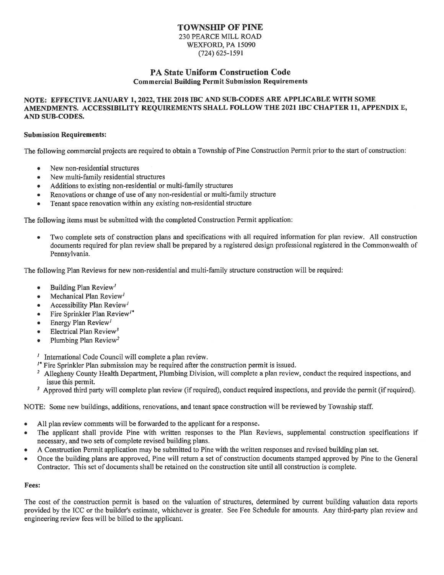# TOWNSHIP OF PINE

230 PEARCE MILL ROAD WEXFORD, PA 15090  $(724)$  625-1591

## PA State Uniform Construction Code **Commercial Building Permit Submission Requirements**

### NOTE: EFFECTIVE JANUARY 1, 2022, THE 2018 IBC AND SUB-CODES ARE APPLICABLE WITH SOME AMENDMENTS. ACCESSIBILITY REQUIREMENTS SHALL FOLLOW THE 2021 IBC CHAPTER 11, APPENDIX E, AND SUB-CODES.

#### **Submission Requirements:**

The following commercial projects are required to obtain a Township of Pine Construction Permit prior to the start of construction:

- New non-residential structures
- New multi-family residential structures
- Additions to existing non-residential or multi-family structures
- Renovations or change of use of any non-residential or multi-family structure
- Tenant space renovation within any existing non-residential structure

The following items must be submitted with the completed Construction Permit application:

Two complete sets of construction plans and specifications with all required information for plan review. All construction documents required for plan review shall be prepared by a registered design professional registered in the Commonwealth of Pennsylvania.

The following Plan Reviews for new non-residential and multi-family structure construction will be required:

- Building Plan Review'
- Mechanical Plan Review<sup>1</sup>  $\bullet$
- Accessibility Plan Review<sup>1</sup>
- Fire Sprinkler Plan Review<sup>"</sup>
- Energy Plan Review<sup>1</sup>
- Electrical Plan Review<sup>3</sup>
- Plumbing Plan Review<sup>2</sup>

 $<sup>1</sup>$  International Code Council will complete a plan review.</sup>

- <sup>1</sup> Fire Sprinkler Plan submission may be required after the construction permit is issued.
- <sup>2</sup> Allegheny County Health Department, Plumbing Division, will complete a plan review, conduct the required inspections, and issue this permit.
- <sup>3</sup> Approved third party will complete plan review (if required), conduct required inspections, and provide the permit (if required).

NOTE: Some new buildings, additions, renovations, and tenant space construction will be reviewed by Township staff.

- All plan review comments will be forwarded to the applicant for a response.
- The applicant shall provide Pine with written responses to the Plan Reviews, supplemental construction specifications if necessary, and two sets of complete revised building plans.
- A Construction Permit application may be submitted to Pine with the written responses and revised building plan set.
- Once the building plans are approved, Pine will return a set of construction documents stamped approved by Pine to the General Contractor. This set of documents shall be retained on the construction site until all construction is complete.

#### Fees:

The cost of the construction permit is based on the valuation of structures, determined by current building valuation data reports provided by the ICC or the builder's estimate, whichever is greater. See Fee Schedule for amounts. Any third-party plan review and engineering review fees will be billed to the applicant.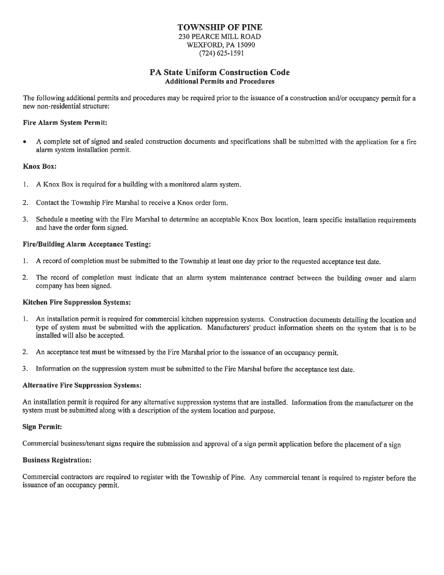### **TOWNSHIP OF PINE 230 PEARCE MILL ROAD** WEXFORD, PA 15090  $(724)$  625-1591

## **PA State Uniform Construction Code Additional Permits and Procedures**

The following additional permits and procedures may be required prior to the issuance of a construction and/or occupancy permit for a new non-residential structure:

#### **Fire Alarm System Permit:**

A complete set of signed and sealed construction documents and specifications shall be submitted with the application for a fire alarm system installation permit.

#### **Knox Box:**

- 1. A Knox Box is required for a building with a monitored alarm system.
- Contact the Township Fire Marshal to receive a Knox order form.  $2.$
- Schedule a meeting with the Fire Marshal to determine an acceptable Knox Box location, learn specific installation requirements  $3.$ and have the order form signed.

#### **Fire/Building Alarm Acceptance Testing:**

- $1<sup>1</sup>$ A record of completion must be submitted to the Township at least one day prior to the requested acceptance test date.
- $2.$ The record of completion must indicate that an alarm system maintenance contract between the building owner and alarm company has been signed.

#### **Kitchen Fire Suppression Systems:**

- 1. An installation permit is required for commercial kitchen suppression systems. Construction documents detailing the location and type of system must be submitted with the application. Manufacturers' product information sheets on the system that is to be installed will also be accepted.
- $2.$ An acceptance test must be witnessed by the Fire Marshal prior to the issuance of an occupancy permit.
- 3. Information on the suppression system must be submitted to the Fire Marshal before the acceptance test date.

#### **Alternative Fire Suppression Systems:**

An installation permit is required for any alternative suppression systems that are installed. Information from the manufacturer on the system must be submitted along with a description of the system location and purpose.

#### **Sign Permit:**

Commercial business/tenant signs require the submission and approval of a sign permit application before the placement of a sign

#### **Business Registration:**

Commercial contractors are required to register with the Township of Pine. Any commercial tenant is required to register before the issuance of an occupancy permit.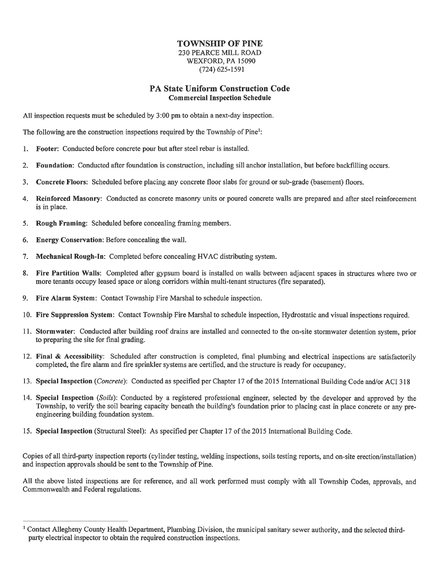### **TOWNSHIP OF PINE 230 PEARCE MILL ROAD** WEXFORD, PA 15090  $(724)$  625-1591

# **PA State Uniform Construction Code Commercial Inspection Schedule**

All inspection requests must be scheduled by 3:00 pm to obtain a next-day inspection.

The following are the construction inspections required by the Township of Pine<sup>1</sup>:

- 1. Footer: Conducted before concrete pour but after steel rebar is installed.
- Foundation: Conducted after foundation is construction, including sill anchor installation, but before backfilling occurs.  $2.$
- $3<sub>1</sub>$ Concrete Floors: Scheduled before placing any concrete floor slabs for ground or sub-grade (basement) floors.
- 4. Reinforced Masonry: Conducted as concrete masonry units or poured concrete walls are prepared and after steel reinforcement is in place.
- 5. Rough Framing: Scheduled before concealing framing members.
- Energy Conservation: Before concealing the wall. 6.
- Mechanical Rough-In: Completed before concealing HVAC distributing system. 7.
- Fire Partition Walls: Completed after gypsum board is installed on walls between adjacent spaces in structures where two or 8. more tenants occupy leased space or along corridors within multi-tenant structures (fire separated).
- 9. Fire Alarm System: Contact Township Fire Marshal to schedule inspection.
- 10. Fire Suppression System: Contact Township Fire Marshal to schedule inspection, Hydrostatic and visual inspections required.
- 11. Stormwater: Conducted after building roof drains are installed and connected to the on-site stormwater detention system, prior to preparing the site for final grading.
- 12. Final & Accessibility: Scheduled after construction is completed, final plumbing and electrical inspections are satisfactorily completed, the fire alarm and fire sprinkler systems are certified, and the structure is ready for occupancy.
- 13. Special Inspection (*Concrete*): Conducted as specified per Chapter 17 of the 2015 International Building Code and/or ACI 318
- 14. Special Inspection (Soils): Conducted by a registered professional engineer, selected by the developer and approved by the Township, to verify the soil bearing capacity beneath the building's foundation prior to placing cast in place concrete or any preengineering building foundation system.
- 15. Special Inspection (Structural Steel): As specified per Chapter 17 of the 2015 International Building Code.

Copies of all third-party inspection reports (cylinder testing, welding inspections, soils testing reports, and on-site erection/installation) and inspection approvals should be sent to the Township of Pine.

All the above listed inspections are for reference, and all work performed must comply with all Township Codes, approvals, and Commonwealth and Federal regulations.

<sup>&</sup>lt;sup>1</sup> Contact Allegheny County Health Department, Plumbing Division, the municipal sanitary sewer authority, and the selected thirdparty electrical inspector to obtain the required construction inspections.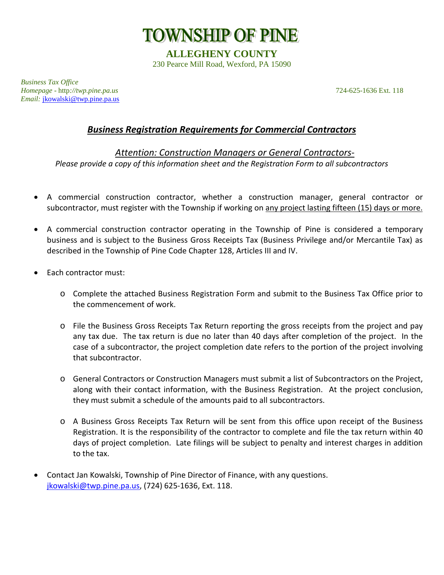

**ALLEGHENY COUNTY** 230 Pearce Mill Road, Wexford, PA 15090

*Business Tax Office Homepage* - http*://twp.pine.pa.us* 724-625-1636 Ext. 118 *Email:* [jkowalski@twp.pine.pa.us](mailto:jkowalski@twp.pine.pa.us)

# *Business Registration Requirements for Commercial Contractors*

# *Attention: Construction Managers or General Contractors-Please provide a copy of this information sheet and the Registration Form to all subcontractors*

- A commercial construction contractor, whether a construction manager, general contractor or subcontractor, must register with the Township if working on any project lasting fifteen (15) days or more.
- A commercial construction contractor operating in the Township of Pine is considered a temporary business and is subject to the Business Gross Receipts Tax (Business Privilege and/or Mercantile Tax) as described in the Township of Pine Code Chapter 128, Articles III and IV.
- Each contractor must:
	- o Complete the attached Business Registration Form and submit to the Business Tax Office prior to the commencement of work.
	- o File the Business Gross Receipts Tax Return reporting the gross receipts from the project and pay any tax due. The tax return is due no later than 40 days after completion of the project. In the case of a subcontractor, the project completion date refers to the portion of the project involving that subcontractor.
	- o General Contractors or Construction Managers must submit a list of Subcontractors on the Project, along with their contact information, with the Business Registration. At the project conclusion, they must submit a schedule of the amounts paid to all subcontractors.
	- o A Business Gross Receipts Tax Return will be sent from this office upon receipt of the Business Registration. It is the responsibility of the contractor to complete and file the tax return within 40 days of project completion. Late filings will be subject to penalty and interest charges in addition to the tax.
- Contact Jan Kowalski, Township of Pine Director of Finance, with any questions. [jkowalski@twp.pine.pa.us,](mailto:jkowalski@twp.pine.pa.us) (724) 625-1636, Ext. 118.